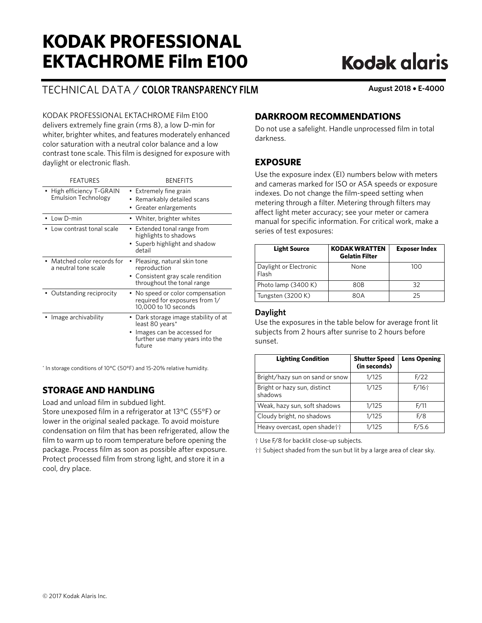# **KODAK PROFESSIONAL EKTACHROME Film E100**

## TECHNICAL DATA / **COLOR TRANSPARENCY FILM August 2018** • **E-4000**

**Kodak alaris** 

KODAK PROFESSIONAL EKTACHROME Film E100 delivers extremely fine grain (rms 8), a low D-min for whiter, brighter whites, and features moderately enhanced color saturation with a neutral color balance and a low contrast tone scale. This film is designed for exposure with daylight or electronic flash.

| <b>FEATURES</b>                                       | <b>BENFFITS</b>                                                                                                                  |
|-------------------------------------------------------|----------------------------------------------------------------------------------------------------------------------------------|
| High efficiency T-GRAIN<br><b>Emulsion Technology</b> | Extremely fine grain<br>Remarkably detailed scans<br>Greater enlargements                                                        |
| Low D-min                                             | • Whiter, brighter whites                                                                                                        |
| Low contrast tonal scale                              | • Extended tonal range from<br>highlights to shadows<br>• Superb highlight and shadow<br>detail                                  |
| • Matched color records for<br>a neutral tone scale   | Pleasing, natural skin tone<br>reproduction<br>• Consistent gray scale rendition<br>throughout the tonal range                   |
| Outstanding reciprocity                               | No speed or color compensation<br>required for exposures from 1/<br>10,000 to 10 seconds                                         |
| Image archivability                                   | Dark storage image stability of at<br>least 80 years*<br>Images can be accessed for<br>further use many years into the<br>future |

\* In storage conditions of 10°C (50°F) and 15-20% relative humidity.

## **STORAGE AND HANDLING**

Load and unload film in subdued light.

Store unexposed film in a refrigerator at 13°C (55°F) or lower in the original sealed package. To avoid moisture condensation on film that has been refrigerated, allow the film to warm up to room temperature before opening the package. Process film as soon as possible after exposure. Protect processed film from strong light, and store it in a cool, dry place.

## **DARKROOM RECOMMENDATIONS**

Do not use a safelight. Handle unprocessed film in total darkness.

## **EXPOSURE**

Use the exposure index (EI) numbers below with meters and cameras marked for ISO or ASA speeds or exposure indexes. Do not change the film-speed setting when metering through a filter. Metering through filters may affect light meter accuracy; see your meter or camera manual for specific information. For critical work, make a series of test exposures:

| <b>Light Source</b>             | <b>KODAK WRATTEN</b><br><b>Gelatin Filter</b> | <b>Exposer Index</b> |
|---------------------------------|-----------------------------------------------|----------------------|
| Daylight or Electronic<br>Flash | None                                          | 100                  |
| Photo lamp (3400 K)             | 80 <sub>B</sub>                               | 32                   |
| Tungsten (3200 K)               | RNA                                           | 25                   |

### **Daylight**

Use the exposures in the table below for average front lit subjects from 2 hours after sunrise to 2 hours before sunset.

| <b>Lighting Condition</b>               | <b>Shutter Speed</b><br>(in seconds) | <b>Lens Opening</b> |
|-----------------------------------------|--------------------------------------|---------------------|
| Bright/hazy sun on sand or snow         | 1/125                                | F/22                |
| Bright or hazy sun, distinct<br>shadows | 1/125                                | $F/16+$             |
| Weak, hazy sun, soft shadows            | 1/125                                | F/11                |
| Cloudy bright, no shadows               | 1/125                                | F/8                 |
| Heavy overcast, open shade††            | 1/125                                | F/5.6               |

† Use F/8 for backlit close-up subjects.

†† Subject shaded from the sun but lit by a large area of clear sky.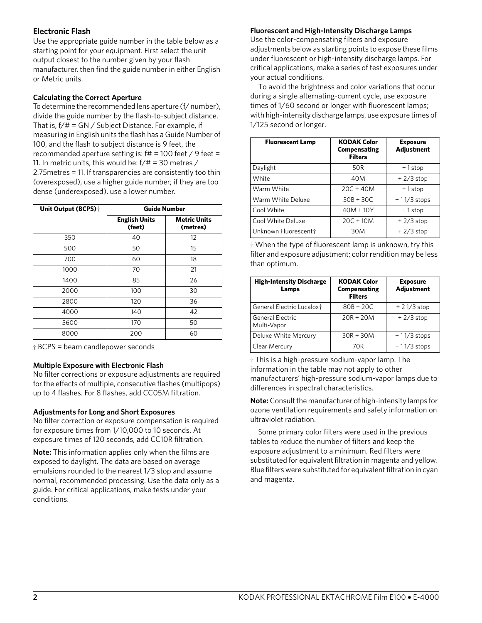## **Electronic Flash**

Use the appropriate guide number in the table below as a starting point for your equipment. First select the unit output closest to the number given by your flash manufacturer, then find the guide number in either English or Metric units.

### **Calculating the Correct Aperture**

To determine the recommended lens aperture (f/ number), divide the guide number by the flash-to-subject distance. That is,  $f/\# = GN / Subject Distance. For example, if$ measuring in English units the flash has a Guide Number of 100, and the flash to subject distance is 9 feet, the recommended aperture setting is:  $f# = 100$  feet / 9 feet = 11. In metric units, this would be:  $f/\# = 30$  metres / 2.75metres = 11. If transparencies are consistently too thin (overexposed), use a higher guide number; if they are too dense (underexposed), use a lower number.

| <b>Unit Output (BCPS)</b> † | <b>Guide Number</b>            |                                 |
|-----------------------------|--------------------------------|---------------------------------|
|                             | <b>English Units</b><br>(feet) | <b>Metric Units</b><br>(metres) |
| 350                         | 40                             | 12                              |
| 500                         | 50                             | 15                              |
| 700                         | 60                             | 18                              |
| 1000                        | 70                             | 21                              |
| 1400                        | 85                             | 26                              |
| 2000                        | 100                            | 30                              |
| 2800                        | 120                            | 36                              |
| 4000                        | 140                            | 42                              |
| 5600                        | 170                            | 50                              |
| 8000                        | 200                            | 60                              |

† BCPS = beam candlepower seconds

### **Multiple Exposure with Electronic Flash**

No filter corrections or exposure adjustments are required for the effects of multiple, consecutive flashes (multipops) up to 4 flashes. For 8 flashes, add CC05M filtration.

#### **Adjustments for Long and Short Exposures**

No filter correction or exposure compensation is required for exposure times from 1/10,000 to 10 seconds. At exposure times of 120 seconds, add CC10R filtration.

**Note:** This information applies only when the films are exposed to daylight. The data are based on average emulsions rounded to the nearest 1/3 stop and assume normal, recommended processing. Use the data only as a guide. For critical applications, make tests under your conditions.

#### **Fluorescent and High-Intensity Discharge Lamps**

Use the color-compensating filters and exposure adjustments below as starting points to expose these films under fluorescent or high-intensity discharge lamps. For critical applications, make a series of test exposures under your actual conditions.

To avoid the brightness and color variations that occur during a single alternating-current cycle, use exposure times of 1/60 second or longer with fluorescent lamps; with high-intensity discharge lamps, use exposure times of 1/125 second or longer.

| <b>Fluorescent Lamp</b> | <b>KODAK Color</b><br>Compensating<br><b>Filters</b> | <b>Exposure</b><br><b>Adjustment</b> |
|-------------------------|------------------------------------------------------|--------------------------------------|
| Daylight                | 50R                                                  | $+1$ stop                            |
| White                   | 40M                                                  | $+2/3$ stop                          |
| Warm White              | $20C + 40M$                                          | +1stop                               |
| Warm White Deluxe       | $30B + 30C$                                          | $+11/3$ stops                        |
| Cool White              | $40M + 10Y$                                          | +1stop                               |
| Cool White Deluxe       | $20C + 10M$                                          | $+2/3$ stop                          |
| Unknown Fluorescentt    | 30M                                                  | $+2/3$ stop                          |

† When the type of fluorescent lamp is unknown, try this filter and exposure adjustment; color rendition may be less than optimum.

| <b>High-Intensity Discharge</b><br>Lamps | <b>KODAK Color</b><br>Compensating<br><b>Filters</b> | <b>Exposure</b><br><b>Adjustment</b> |
|------------------------------------------|------------------------------------------------------|--------------------------------------|
| General Electric Lucalox <sup>+</sup>    | $80B + 20C$                                          | $+21/3$ stop                         |
| General Electric<br>Multi-Vapor          | $20R + 20M$                                          | $+2/3$ stop                          |
| Deluxe White Mercury                     | $30R + 30M$                                          | $+11/3$ stops                        |
| Clear Mercury                            | 70R                                                  | $+11/3$ stops                        |

† This is a high-pressure sodium-vapor lamp. The information in the table may not apply to other manufacturers' high-pressure sodium-vapor lamps due to differences in spectral characteristics.

**Note:** Consult the manufacturer of high-intensity lamps for ozone ventilation requirements and safety information on ultraviolet radiation.

Some primary color filters were used in the previous tables to reduce the number of filters and keep the exposure adjustment to a minimum. Red filters were substituted for equivalent filtration in magenta and yellow. Blue filters were substituted for equivalent filtration in cyan and magenta.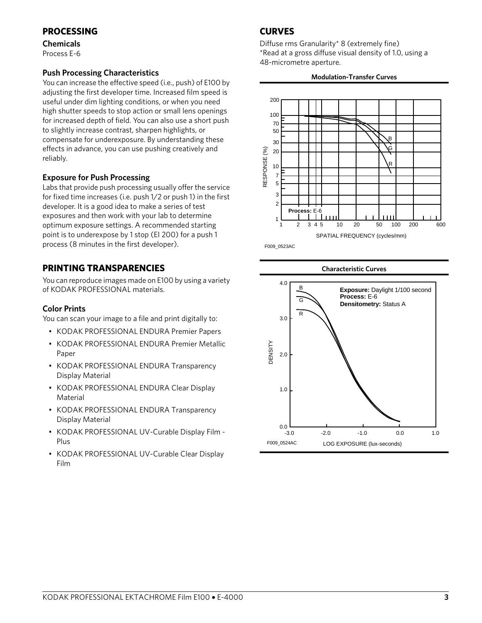## **PROCESSING**

**Chemicals** Process E-6

## **Push Processing Characteristics**

You can increase the effective speed (i.e., push) of E100 by adjusting the first developer time. Increased film speed is useful under dim lighting conditions, or when you need high shutter speeds to stop action or small lens openings for increased depth of field. You can also use a short push to slightly increase contrast, sharpen highlights, or compensate for underexposure. By understanding these effects in advance, you can use pushing creatively and reliably.

## **Exposure for Push Processing**

Labs that provide push processing usually offer the service for fixed time increases (i.e. push 1/2 or push 1) in the first developer. It is a good idea to make a series of test exposures and then work with your lab to determine optimum exposure settings. A recommended starting point is to underexpose by 1 stop (EI 200) for a push 1 process (8 minutes in the first developer).

## **PRINTING TRANSPARENCIES**

You can reproduce images made on E100 by using a variety of KODAK PROFESSIONAL materials.

## **Color Prints**

You can scan your image to a file and print digitally to:

- KODAK PROFESSIONAL ENDURA Premier Papers
- KODAK PROFESSIONAL ENDURA Premier Metallic Paper
- KODAK PROFESSIONAL ENDURA Transparency Display Material
- KODAK PROFESSIONAL ENDURA Clear Display Material
- KODAK PROFESSIONAL ENDURA Transparency Display Material
- KODAK PROFESSIONAL UV-Curable Display Film Plus
- KODAK PROFESSIONAL UV-Curable Clear Display Film

## **CURVES**

Diffuse rms Granularity\* 8 (extremely fine) \*Read at a gross diffuse visual density of 1.0, using a 48-micrometre aperture.

#### **Modulation-Transfer Curves**



F009\_0523AC

#### **Characteristic Curves**